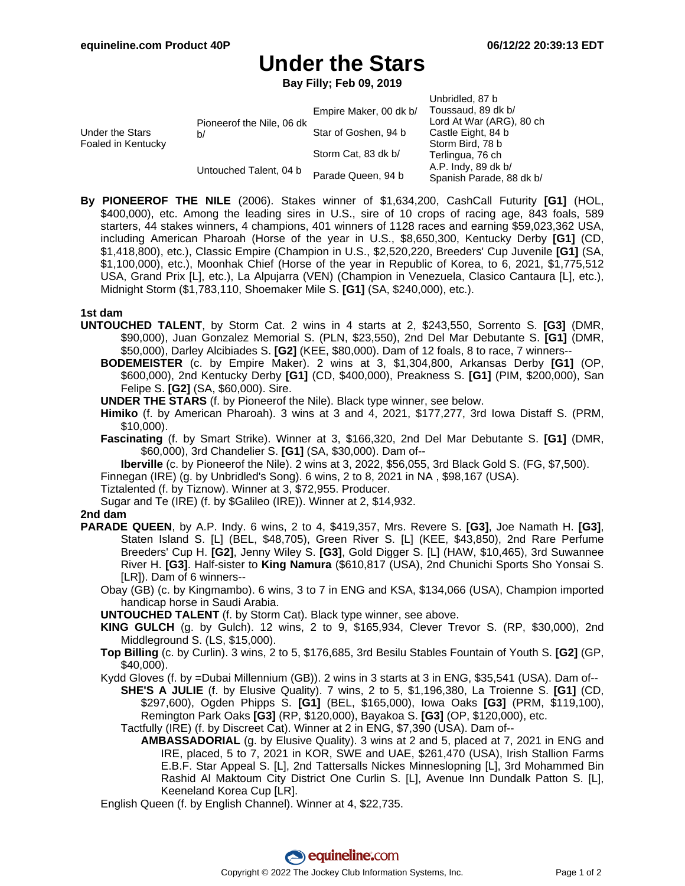# **Under the Stars**

**Bay Filly; Feb 09, 2019**

|                                       |                                 | Empire Maker, 00 dk b/ | Unbridled, 87 b<br>Toussaud, 89 dk b/           |
|---------------------------------------|---------------------------------|------------------------|-------------------------------------------------|
| Under the Stars<br>Foaled in Kentucky | Pioneerof the Nile, 06 dk<br>b/ |                        | Lord At War (ARG), 80 ch                        |
|                                       |                                 | Star of Goshen, 94 b   | Castle Eight, 84 b<br>Storm Bird, 78 b          |
|                                       | Untouched Talent, 04 b          | Storm Cat, 83 dk b/    | Terlingua, 76 ch                                |
|                                       |                                 | Parade Queen, 94 b     | A.P. Indy, 89 dk b/<br>Spanish Parade, 88 dk b/ |

**By PIONEEROF THE NILE** (2006). Stakes winner of \$1,634,200, CashCall Futurity **[G1]** (HOL, \$400,000), etc. Among the leading sires in U.S., sire of 10 crops of racing age, 843 foals, 589 starters, 44 stakes winners, 4 champions, 401 winners of 1128 races and earning \$59,023,362 USA, including American Pharoah (Horse of the year in U.S., \$8,650,300, Kentucky Derby **[G1]** (CD, \$1,418,800), etc.), Classic Empire (Champion in U.S., \$2,520,220, Breeders' Cup Juvenile **[G1]** (SA, \$1,100,000), etc.), Moonhak Chief (Horse of the year in Republic of Korea, to 6, 2021, \$1,775,512 USA, Grand Prix [L], etc.), La Alpujarra (VEN) (Champion in Venezuela, Clasico Cantaura [L], etc.), Midnight Storm (\$1,783,110, Shoemaker Mile S. **[G1]** (SA, \$240,000), etc.).

### **1st dam**

- **UNTOUCHED TALENT**, by Storm Cat. 2 wins in 4 starts at 2, \$243,550, Sorrento S. **[G3]** (DMR, \$90,000), Juan Gonzalez Memorial S. (PLN, \$23,550), 2nd Del Mar Debutante S. **[G1]** (DMR, \$50,000), Darley Alcibiades S. **[G2]** (KEE, \$80,000). Dam of 12 foals, 8 to race, 7 winners--
	- **BODEMEISTER** (c. by Empire Maker). 2 wins at 3, \$1,304,800, Arkansas Derby **[G1]** (OP, \$600,000), 2nd Kentucky Derby **[G1]** (CD, \$400,000), Preakness S. **[G1]** (PIM, \$200,000), San Felipe S. **[G2]** (SA, \$60,000). Sire.
	- **UNDER THE STARS** (f. by Pioneerof the Nile). Black type winner, see below.
	- **Himiko** (f. by American Pharoah). 3 wins at 3 and 4, 2021, \$177,277, 3rd Iowa Distaff S. (PRM, \$10,000).
	- **Fascinating** (f. by Smart Strike). Winner at 3, \$166,320, 2nd Del Mar Debutante S. **[G1]** (DMR, \$60,000), 3rd Chandelier S. **[G1]** (SA, \$30,000). Dam of--

**Iberville** (c. by Pioneerof the Nile). 2 wins at 3, 2022, \$56,055, 3rd Black Gold S. (FG, \$7,500).

Finnegan (IRE) (g. by Unbridled's Song). 6 wins, 2 to 8, 2021 in NA , \$98,167 (USA).

Tiztalented (f. by Tiznow). Winner at 3, \$72,955. Producer.

Sugar and Te (IRE) (f. by \$Galileo (IRE)). Winner at 2, \$14,932.

### **2nd dam**

- **PARADE QUEEN**, by A.P. Indy. 6 wins, 2 to 4, \$419,357, Mrs. Revere S. **[G3]**, Joe Namath H. **[G3]**, Staten Island S. [L] (BEL, \$48,705), Green River S. [L] (KEE, \$43,850), 2nd Rare Perfume Breeders' Cup H. **[G2]**, Jenny Wiley S. **[G3]**, Gold Digger S. [L] (HAW, \$10,465), 3rd Suwannee River H. **[G3]**. Half-sister to **King Namura** (\$610,817 (USA), 2nd Chunichi Sports Sho Yonsai S. [LR]). Dam of 6 winners--
	- Obay (GB) (c. by Kingmambo). 6 wins, 3 to 7 in ENG and KSA, \$134,066 (USA), Champion imported handicap horse in Saudi Arabia.
	- **UNTOUCHED TALENT** (f. by Storm Cat). Black type winner, see above.
	- **KING GULCH** (g. by Gulch). 12 wins, 2 to 9, \$165,934, Clever Trevor S. (RP, \$30,000), 2nd Middleground S. (LS, \$15,000).
	- **Top Billing** (c. by Curlin). 3 wins, 2 to 5, \$176,685, 3rd Besilu Stables Fountain of Youth S. **[G2]** (GP, \$40,000).
	- Kydd Gloves (f. by =Dubai Millennium (GB)). 2 wins in 3 starts at 3 in ENG, \$35,541 (USA). Dam of--
		- **SHE'S A JULIE** (f. by Elusive Quality). 7 wins, 2 to 5, \$1,196,380, La Troienne S. **[G1]** (CD, \$297,600), Ogden Phipps S. **[G1]** (BEL, \$165,000), Iowa Oaks **[G3]** (PRM, \$119,100), Remington Park Oaks **[G3]** (RP, \$120,000), Bayakoa S. **[G3]** (OP, \$120,000), etc.
		- Tactfully (IRE) (f. by Discreet Cat). Winner at 2 in ENG, \$7,390 (USA). Dam of--
			- **AMBASSADORIAL** (g. by Elusive Quality). 3 wins at 2 and 5, placed at 7, 2021 in ENG and IRE, placed, 5 to 7, 2021 in KOR, SWE and UAE, \$261,470 (USA), Irish Stallion Farms E.B.F. Star Appeal S. [L], 2nd Tattersalls Nickes Minneslopning [L], 3rd Mohammed Bin Rashid Al Maktoum City District One Curlin S. [L], Avenue Inn Dundalk Patton S. [L], Keeneland Korea Cup [LR].
	- English Queen (f. by English Channel). Winner at 4, \$22,735.